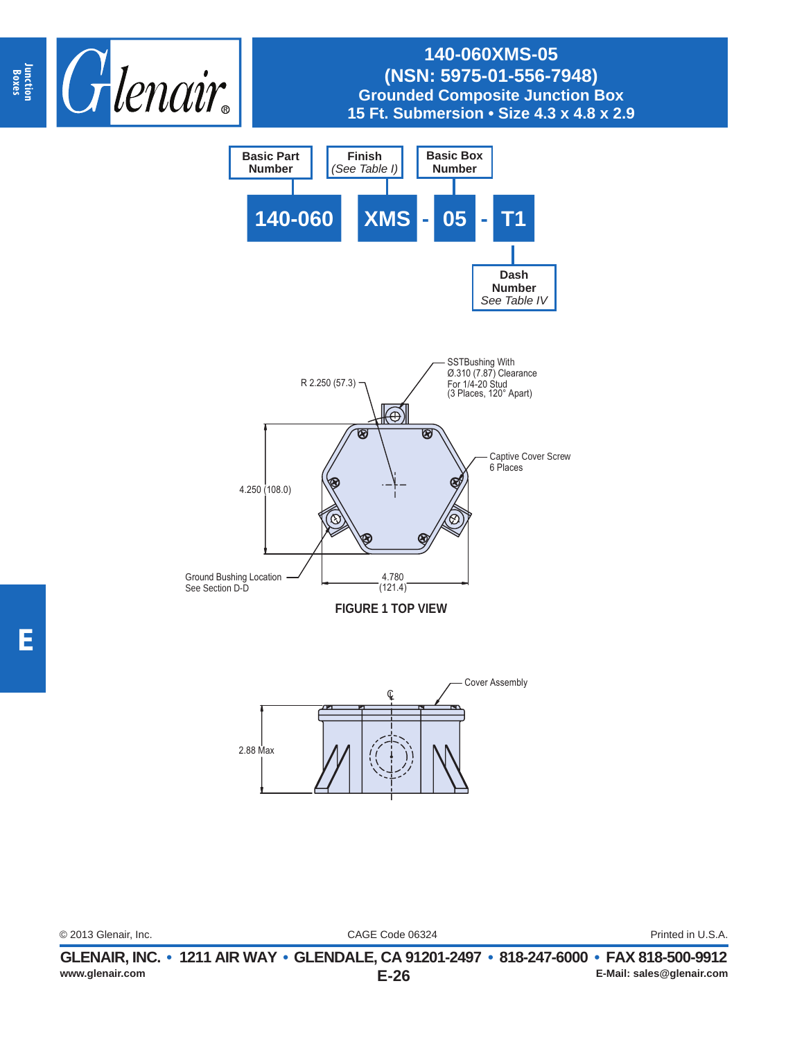





| © 2013 Glenair, Inc. |  |
|----------------------|--|
|----------------------|--|

CAGE Code 06324 © 2013 Glenair, Inc. Printed in U.S.A.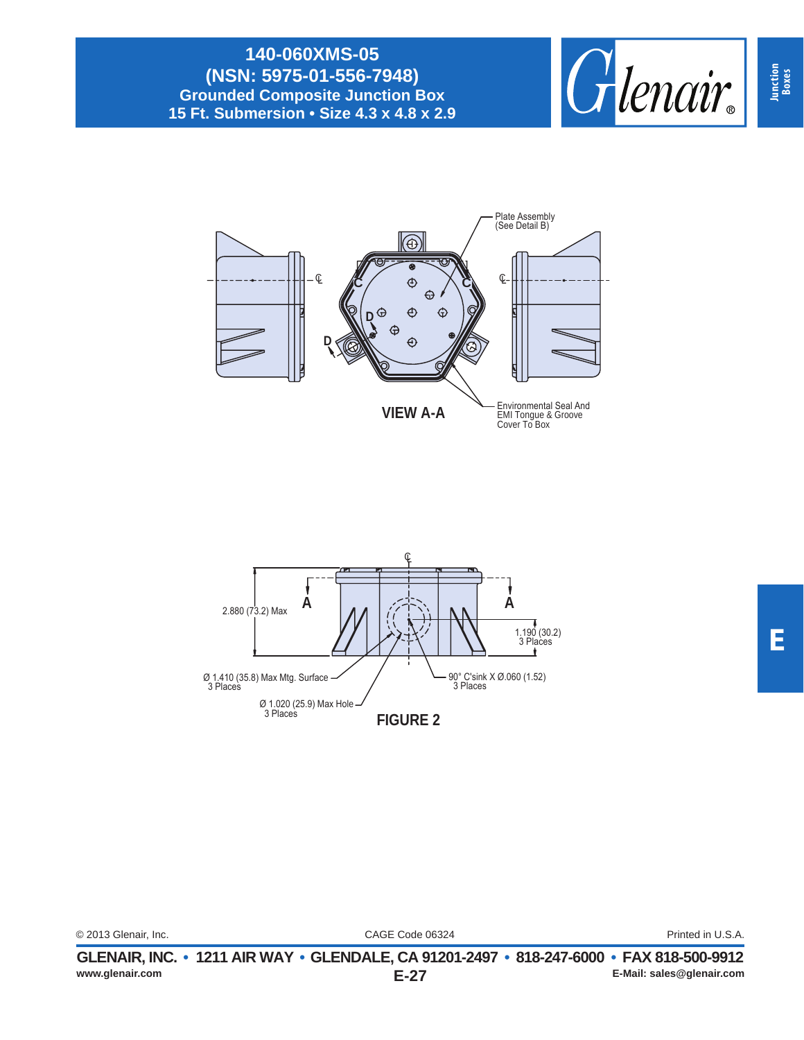





|                      | GLENAIR. INC. • 1211 AIR WAY • GLENDALE. CA 91201-2497 • 818-247-6000 • FAX 818-500-9912 |                   |
|----------------------|------------------------------------------------------------------------------------------|-------------------|
| © 2013 Glenair, Inc. | CAGE Code 06324                                                                          | Printed in U.S.A. |
|                      |                                                                                          |                   |

**Junction Boxes**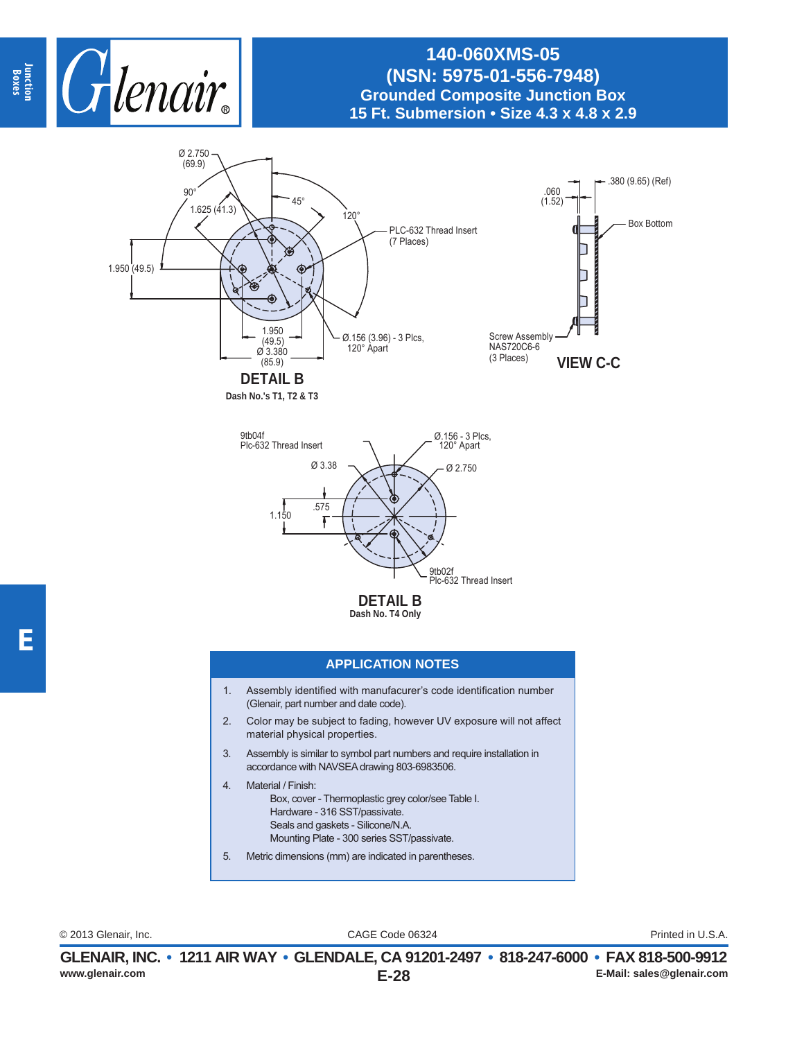



**Dash No.'s T1, T2 & T3**



#### **APPLICATION NOTES**

- 1. Assembly identified with manufacurer's code identification number (Glenair, part number and date code).
- 2. Color may be subject to fading, however UV exposure will not affect material physical properties.
- 3. Assembly is similar to symbol part numbers and require installation in accordance with NAVSEA drawing 803-6983506.
- 4. Material / Finish: Box, cover - Thermoplastic grey color/see Table I. Hardware - 316 SST/passivate. Seals and gaskets - Silicone/N.A. Mounting Plate - 300 series SST/passivate.
- 5. Metric dimensions (mm) are indicated in parentheses.

CAGE Code 06324 © 2013 Glenair, Inc. Printed in U.S.A.